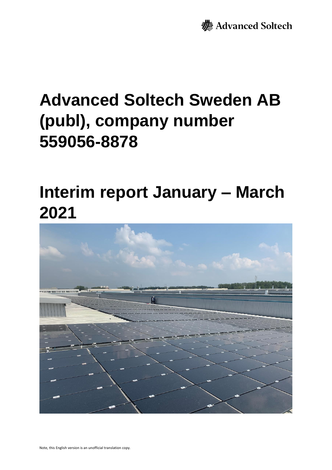**>** Advanced Soltech

# **Advanced Soltech Sweden AB (publ), company number 559056-8878**

## **Interim report January – March 2021**

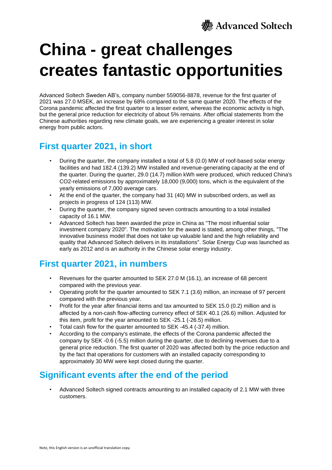

# **China - great challenges creates fantastic opportunities**

Advanced Soltech Sweden AB's, company number 559056-8878, revenue for the first quarter of 2021 was 27.0 MSEK, an increase by 68% compared to the same quarter 2020. The effects of the Corona pandemic affected the first quarter to a lesser extent, whereas the economic activity is high, but the general price reduction for electricity of about 5% remains. After official statements from the Chinese authorities regarding new climate goals, we are experiencing a greater interest in solar energy from public actors.

### **First quarter 2021, in short**

- During the quarter, the company installed a total of 5.8 (0.0) MW of roof-based solar energy facilities and had 182.4 (139.2) MW installed and revenue-generating capacity at the end of the quarter. During the quarter, 29.0 (14.7) million kWh were produced, which reduced China's CO2-related emissions by approximately 18,000 (9,000) tons, which is the equivalent of the yearly emissions of 7,000 average cars.
- At the end of the quarter, the company had 31 (40) MW in subscribed orders, as well as projects in progress of 124 (113) MW.
- During the quarter, the company signed seven contracts amounting to a total installed capacity of 16.1 MW.
- Advanced Soltech has been awarded the prize in China as "The most influential solar investment company 2020". The motivation for the award is stated, among other things, "The innovative business model that does not take up valuable land and the high reliability and quality that Advanced Soltech delivers in its installations". Solar Energy Cup was launched as early as 2012 and is an authority in the Chinese solar energy industry.

### **First quarter 2021, in numbers**

- Revenues for the quarter amounted to SEK 27.0 M (16.1), an increase of 68 percent compared with the previous year.
- Operating profit for the quarter amounted to SEK 7.1 (3.6) million, an increase of 97 percent compared with the previous year.
- Profit for the year after financial items and tax amounted to SEK 15.0 (0.2) million and is affected by a non-cash flow-affecting currency effect of SEK 40.1 (26.6) million. Adjusted for this item, profit for the year amounted to SEK -25.1 (-26.5) million.
- Total cash flow for the quarter amounted to SEK -45.4 (-37.4) million.
- According to the company's estimate, the effects of the Corona pandemic affected the company by SEK -0.6 (-5.5) million during the quarter, due to declining revenues due to a general price reduction. The first quarter of 2020 was affected both by the price reduction and by the fact that operations for customers with an installed capacity corresponding to approximately 30 MW were kept closed during the quarter.

### **Significant events after the end of the period**

• Advanced Soltech signed contracts amounting to an installed capacity of 2.1 MW with three customers.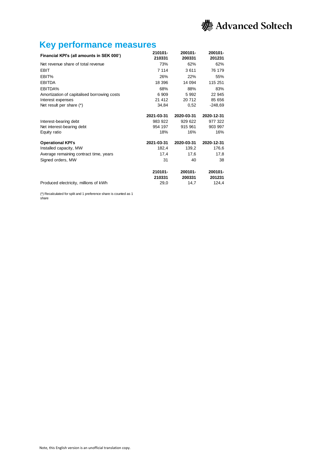

### **Key performance measures**

|                                             | 210101-    | 200101-    | 200101-    |
|---------------------------------------------|------------|------------|------------|
| Financial KPI's (all amounts in SEK 000')   | 210331     | 200331     | 201231     |
| Net revenue share of total revenue          | 73%        | 62%        | 62%        |
| <b>EBIT</b>                                 | 7 1 1 4    | 3611       | 76 179     |
| EBIT%                                       | 26%        | 22%        | 55%        |
| <b>EBITDA</b>                               | 18 396     | 14 094     | 115 251    |
| EBITDA%                                     | 68%        | 88%        | 83%        |
| Amortization of capitalised borrowing costs | 6 9 0 9    | 5 9 9 2    | 22 945     |
| Interest expenses                           | 21 412     | 20 712     | 85 656     |
| Net result per share (*)                    | 34,84      | 0,52       | -248,69    |
|                                             | 2021-03-31 | 2020-03-31 | 2020-12-31 |
| Interest-bearing debt                       | 983 922    | 929 622    | 977 322    |
| Net interest-bearing debt                   | 954 197    | 915 961    | 903 997    |
| Equity ratio                                | 18%        | 16%        | 16%        |
| <b>Operational KPI's</b>                    | 2021-03-31 | 2020-03-31 | 2020-12-31 |
| Installed capacity, MW                      | 182,4      | 139,2      | 176,6      |
| Average remaining contract time, years      | 17,4       | 17,6       | 17,8       |
| Signed orders, MW                           | 31         | 40         | 38         |
|                                             | 210101-    | 200101-    | 200101-    |
|                                             | 210331     | 200331     | 201231     |
| Produced electricity, millions of kWh       | 29,0       | 14,7       | 124,4      |

(\*) Recalculated for split and 1 preference share is counted as 1 share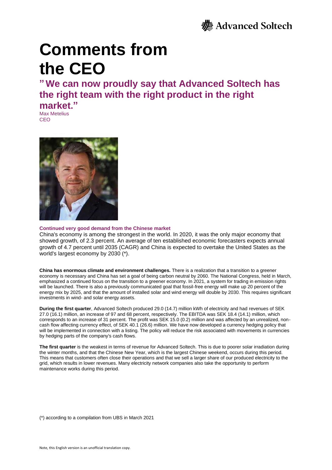# **Comments from the CEO**

**"We can now proudly say that Advanced Soltech has the right team with the right product in the right market."**

Max Metelius **CEO** 



#### **Continued very good demand from the Chinese market**

China's economy is among the strongest in the world. In 2020, it was the only major economy that showed growth, of 2.3 percent. An average of ten established economic forecasters expects annual growth of 4.7 percent until 2035 (CAGR) and China is expected to overtake the United States as the world's largest economy by 2030 (\*).

**China has enormous climate and environment challenges.** There is a realization that a transition to a greener economy is necessary and China has set a goal of being carbon neutral by 2060. The National Congress, held in March, emphasized a continued focus on the transition to a greener economy. In 2021, a system for trading in emission rights will be launched. There is also a previously communicated goal that fossil-free energy will make up 20 percent of the energy mix by 2025, and that the amount of installed solar and wind energy will double by 2030. This requires significant investments in wind- and solar energy assets.

**During the first quarter**, Advanced Soltech produced 29.0 (14.7) million kWh of electricity and had revenues of SEK 27.0 (16.1) million, an increase of 97 and 68 percent, respectively. The EBITDA was SEK 18.4 (14.1) million, which corresponds to an increase of 31 percent. The profit was SEK 15.0 (0.2) million and was affected by an unrealized, noncash flow affecting currency effect, of SEK 40.1 (26.6) million. We have now developed a currency hedging policy that will be implemented in connection with a listing. The policy will reduce the risk associated with movements in currencies by hedging parts of the company's cash flows.

**The first quarter** is the weakest in terms of revenue for Advanced Soltech. This is due to poorer solar irradiation during the winter months, and that the Chinese New Year, which is the largest Chinese weekend, occurs during this period. This means that customers often close their operations and that we sell a larger share of our produced electricity to the grid, which results in lower revenues. Many electricity network companies also take the opportunity to perform maintenance works during this period.

(\*) according to a compilation from UBS in March 2021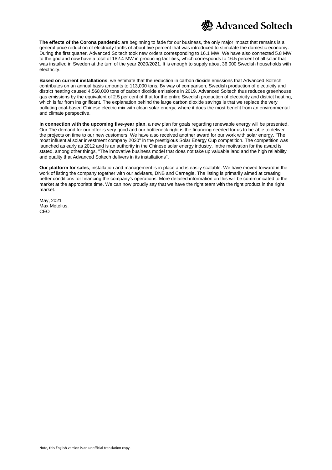

**The effects of the Corona pandemic** are beginning to fade for our business, the only major impact that remains is a general price reduction of electricity tariffs of about five percent that was introduced to stimulate the domestic economy. During the first quarter, Advanced Soltech took new orders corresponding to 16.1 MW. We have also connected 5.8 MW to the grid and now have a total of 182.4 MW in producing facilities, which corresponds to 16.5 percent of all solar that was installed in Sweden at the turn of the year 2020/2021. It is enough to supply about 36 000 Swedish households with electricity.

**Based on current installations**, we estimate that the reduction in carbon dioxide emissions that Advanced Soltech contributes on an annual basis amounts to 113,000 tons. By way of comparison, Swedish production of electricity and district heating caused 4,568,000 tons of carbon dioxide emissions in 2019. Advanced Soltech thus reduces greenhouse gas emissions by the equivalent of 2.5 per cent of that for the entire Swedish production of electricity and district heating, which is far from insignificant. The explanation behind the large carbon dioxide savings is that we replace the very polluting coal-based Chinese electric mix with clean solar energy, where it does the most benefit from an environmental and climate perspective.

**In connection with the upcoming five-year plan**, a new plan for goals regarding renewable energy will be presented. Our The demand for our offer is very good and our bottleneck right is the financing needed for us to be able to deliver the projects on time to our new customers. We have also received another award for our work with solar energy, "The most influential solar investment company 2020" in the prestigious Solar Energy Cup competition. The competition was launched as early as 2012 and is an authority in the Chinese solar energy industry. Inthe motivation for the award is stated, among other things, "The innovative business model that does not take up valuable land and the high reliability and quality that Advanced Soltech delivers in its installations".

**Our platform for sales**, installation and management is in place and is easily scalable. We have moved forward in the work of listing the company together with our advisers, DNB and Carnegie. The listing is primarily aimed at creating better conditions for financing the company's operations. More detailed information on this will be communicated to the market at the appropriate time. We can now proudly say that we have the right team with the right product in the right market.

May, 2021 Max Metelius CEO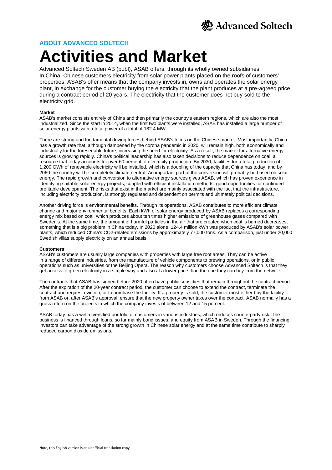

### **ABOUT ADVANCED SOLTECH**

## **Activities and Market**

Advanced Soltech Sweden AB (publ), ASAB offers, through its wholly owned subsidiaries In China, Chinese customers electricity from solar power plants placed on the roofs of customers' properties. ASAB's offer means that the company invests in, owns and operates the solar energy plant, in exchange for the customer buying the electricity that the plant produces at a pre-agreed price during a contract period of 20 years. The electricity that the customer does not buy sold to the electricity grid.

#### **Market**

ASAB's market consists entirely of China and then primarily the country's eastern regions, which are also the most industrialized. Since the start in 2014, when the first two plants were installed, ASAB has installed a large number of solar energy plants with a total power of a total of 182.4 MW.

There are strong and fundamental driving forces behind ASAB's focus on the Chinese market. Most importantly, China has a growth rate that, although dampened by the corona pandemic in 2020, will remain high, both economically and industrially for the foreseeable future, increasing the need for electricity. As a result, the market for alternative energy sources is growing rapidly. China's political leadership has also taken decisions to reduce dependence on coal, a resource that today accounts for over 60 percent of electricity production. By 2030, facilities for a total production of 1,200 GWh of renewable electricity will be installed, which is a doubling of the capacity that China has today, and by 2060 the country will be completely climate neutral. An important part of the conversion will probably be based on solar energy. The rapid growth and conversion to alternative energy sources gives ASAB, which has proven experience in identifying suitable solar energy projects, coupled with efficient installation methods, good opportunities for continued profitable development. The risks that exist in the market are mainly associated with the fact that the infrastructure, including electricity production, is strongly regulated and dependent on permits and ultimately political decisions.

Another driving force is environmental benefits. Through its operations, ASAB contributes to more efficient climate change and major environmental benefits. Each kWh of solar energy produced by ASAB replaces a corresponding energy mix based on coal, which produces about ten times higher emissions of greenhouse gases compared with Sweden's. At the same time, the amount of harmful particles in the air that are created when coal is burned decreases, something that is a big problem in China today. In 2020 alone, 124.4 million kWh was produced by ASAB's solar power plants, which reduced China's CO2-related emissions by approximately 77,000 tons. As a comparison, just under 20,000 Swedish villas supply electricity on an annual basis.

#### **Customers**

ASAB's customers are usually large companies with properties with large free roof areas. They can be active in a range of different industries, from the manufacture of vehicle components to brewing operations, or in public operations such as universities or the Beijing Opera. The reason why customers choose Advanced Soltech is that they get access to green electricity in a simple way and also at a lower price than the one they can buy from the network.

The contracts that ASAB has signed before 2020 often have public subsidies that remain throughout the contract period. After the expiration of the 20-year contract period, the customer can choose to extend the contract, terminate the contract and request eviction, or to purchase the facility. If a property is sold, the customer must either buy the facility from ASAB or, after ASAB's approval, ensure that the new property owner takes over the contract. ASAB normally has a gross return on the projects in which the company invests of between 12 and 15 percent.

ASAB today has a well-diversified portfolio of customers in various industries, which reduces counterparty risk. The business is financed through loans, so far mainly bond issues, and equity from ASAB in Sweden. Through the financing, investors can take advantage of the strong growth in Chinese solar energy and at the same time contribute to sharply reduced carbon dioxide emissions.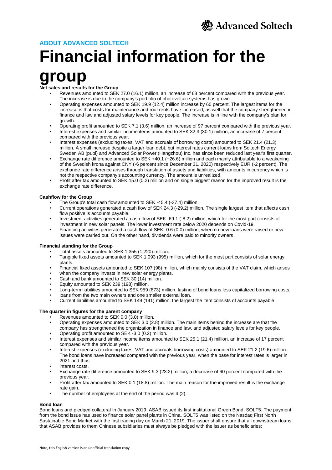

### **ABOUT ADVANCED SOLTECH**

# **Financial information for the group**

**Net sales and results for the Group**

- Revenues amounted to SEK 27.0 (16.1) million, an increase of 68 percent compared with the previous year. The increase is due to the company's portfolio of photovoltaic systems has grown.
- Operating expenses amounted to SEK 19.9 (12.4) million increase by 60 percent. The largest items for the increase is that costs for maintenance and roof rents have increased, as well that the company strengthened in finance and law and adjusted salary levels for key people. The increase is in line with the company's plan for growth.
- Operating profit amounted to SEK 7.1 (3.6) million, an increase of 97 percent compared with the previous year.
- Interest expenses and similar income items amounted to SEK 32.3 (30.1) million, an increase of 7 percent compared with the previous year.
- Interest expenses (excluding taxes, VAT and accruals of borrowing costs) amounted to SEK 21.4 (21.3) million. A small increase despite a larger loan debt, but interest rates current loans from Soltech Energy Sweden AB (publ) and Advanced Solar Power (Hangzhou) Inc. has since been reduced last year's first quarter.
- Exchange rate difference amounted to SEK +40.1 (+26.6) million and each mainly attributable to a weakening of the Swedish krona against CNY (-6 percent since December 31, 2020) respectively EUR (-2 percent). The exchange rate difference arises through translation of assets and liabilities, with amounts in currency which is not the respective company's accounting currency. The amount is unrealized.
- Profit after tax amounted to SEK 15.0 (0.2) million and on single biggest reason for the improved result is the exchange rate difference.

#### **Cashflow for the Group**

- The Group's total cash flow amounted to SEK -45.4 (-37.4) million.
- Current operations generated a cash flow of SEK 24.3 (-29.2) million. The single largest item that affects cash flow positive is accounts payable.
- Investment activities generated a cash flow of SEK -69.1 (-8.2) million, which for the most part consists of investment in new solar panels. The lower investment rate below 2020 depends on Covid-19.
- Financing activities generated a cash flow of SEK -0.6 (0.0) million, when no new loans were raised or new issues were carried out. On the other hand, dividends were paid to minority owners.

#### **Financial standing for the Group**

• Total assets amounted to SEK 1,355 (1,220) million.

- Tangible fixed assets amounted to SEK 1,093 (995) million, which for the most part consists of solar energy plants.
- Financial fixed assets amounted to SEK 107 (98) million, which mainly consists of the VAT claim, which arises
- when the company invests in new solar energy plants.
- Cash and bank amounted to SEK 30 (14) million.
- Equity amounted to SEK 239 (198) million.
- Long-term liabilities amounted to SEK 959 (873) million, lasting of bond loans less capitalized borrowing costs,
- loans from the two main owners and one smaller external loan.
- Current liabilities amounted to SEK 149 (141) million, the largest the item consists of accounts payable.

#### **The quarter in figures for the parent company**

- Revenues amounted to SEK 0.0 (3.0) million.
- Operating expenses amounted to SEK 3.0 (2.8) million. The main items behind the increase are that the company has strengthened the organization in finance and law, and adjusted salary levels for key people.
- Operating profit amounted to SEK -3.0 (0.2) million.
- Interest expenses and similar income items amounted to SEK 25.1 (21.4) million, an increase of 17 percent compared with the previous year.
- Interest expenses (excluding taxes, VAT and accruals borrowing costs) amounted to SEK 21.2 (19.6) million. The bond loans have increased compared with the previous year, when the base for interest rates is larger in 2021 and thus
- interest costs.
- Exchange rate difference amounted to SEK 9.3 (23.2) million, a decrease of 60 percent compared with the previous year.
- Profit after tax amounted to SEK 0.1 (18.8) million. The main reason for the improved result is the exchange rate gain.
- The number of employees at the end of the period was 4 (2).

#### **Bond loan**

Bond loans and pledged collateral In January 2019, ASAB issued its first institutional Green Bond, SOLT5. The payment from the bond issue has used to finance solar panel plants in China. SOLT5 was listed on the Nasdaq First North Sustainable Bond Market with the first trading day on March 21, 2019. The issuer shall ensure that all downstream loans that ASAB provides to them Chinese subsidiaries must always be pledged with the issuer as beneficiaries: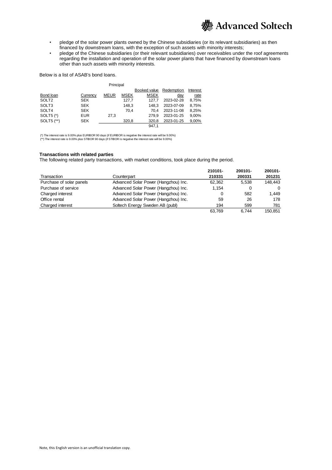

- pledge of the solar power plants owned by the Chinese subsidiaries (or its relevant subsidiaries) as then financed by downstream loans, with the exception of such assets with minority interests;
- pledge of the Chinese subsidiaries (or their relevant subsidiaries) over receivables under the roof agreements regarding the installation and operation of the solar power plants that have financed by downstream loans other than such assets with minority interests.

#### Below is a list of ASAB's bond loans.

| Principal         |          |             |             |              |            |          |
|-------------------|----------|-------------|-------------|--------------|------------|----------|
|                   |          |             |             | Booked value | Redemption | Interest |
| Bond loan         | Currency | <b>MEUR</b> | <b>MSEK</b> | <b>MSEK</b>  | day        | rate     |
| SOLT <sub>2</sub> | SEK      |             | 127,7       | 127.7        | 2023-02-28 | 8,75%    |
| SOLT3             | SEK      |             | 148.3       | 148.3        | 2023-07-09 | 8.75%    |
| SOLT4             | SEK      |             | 70.4        | 70.4         | 2023-11-08 | 8,25%    |
| SOLT5 $(*)$       | EUR      | 27.3        |             | 279.9        | 2023-01-25 | 9,00%    |
| SOLT5 (**)        | SEK      |             | 320.8       | 320.8        | 2023-01-25 | 9,00%    |
|                   |          |             |             | 947.1        |            |          |

(\*) The interest rate is 9.00% plus EURIBOR 90 days (if EURIBOR is negative the interest rate will be 9.00%) (\*\*) The interest rate is 9.00% plus STIBOR 90 days (if STIBOR is negative the interest rate will be 9.00%)

#### **Transactions with related parties**

The following related party transactions, with market conditions, took place during the period.

|                          |                                      | 210101- | 200101- | 200101-  |
|--------------------------|--------------------------------------|---------|---------|----------|
| Transaction              | Counterpart                          | 210331  | 200331  | 201231   |
| Purchase of solar panels | Advanced Solar Power (Hangzhou) Inc. | 62.362  | 5.538   | 148.443  |
| Purchase of service      | Advanced Solar Power (Hangzhou) Inc. | 1.154   |         | $\Omega$ |
| Charged interest         | Advanced Solar Power (Hangzhou) Inc. | 0       | 582     | 1.449    |
| Office rental            | Advanced Solar Power (Hangzhou) Inc. | 59      | 26      | 178      |
| Charged interest         | Soltech Energy Sweden AB (publ)      | 194     | 599     | 781      |
|                          |                                      | 63.769  | 6.744   | 150.851  |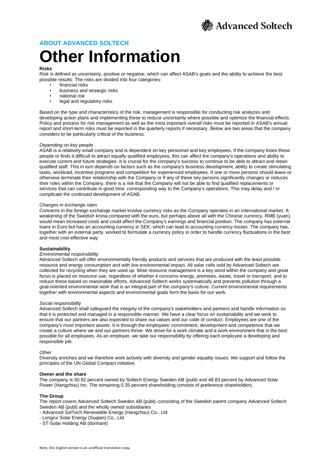

### **ABOUT ADVANCED SOLTECH**

# **Other Information**

#### **Risks**

Risk is defined as uncertainty, positive or negative, which can affect ASAB's goals and the ability to achieve the best possible results. The risks are divided into four categories:

- financial risks
- business and strategic risks<br>• pational risk
- national risk<br>• legal and reg
- legal and regulatory risks.

Based on the type and characteristics of the risk, management is responsible for conducting risk analyzes and developing action plans and implementing these to reduce uncertainty where possible and optimize the financial effects. Policy and process for risk management as well as the most important overall risks must be reported in ASAB's annual report and short-term risks must be reported in the quarterly reports if necessary. Below are two areas that the company considers to be particularly critical of the business.

#### *Depending on key people*

ASAB is a relatively small company and is dependent on key personnel and key employees. If the company loses these people or finds it difficult to attract equally qualified employees, this can affect the company's operations and ability to execute current and future strategies. It is crucial for the company's success to continue to be able to attract and retain qualified staff. This in turn depends on factors such as the company's business development, ability to create stimulating tasks, workload, incentive programs and competition for experienced employees. If one or more persons should leave or otherwise terminate their relationship with the Company or if any of these key persons significantly changes or reduces their roles within the Company, there is a risk that the Company will not be able to find qualified replacements or services that can contribute in good time. corresponding way to the Company's operations. This may delay and / or complicate the continued development of ASAB.

#### *Changes in exchange rates*

Concerns in the foreign exchange market involve currency risks as the Company operates in an international market. A weakening of the Swedish krona compared with the euro, but perhaps above all with the Chinese currency, RMB (yuan), would mean increased costs and could affect the Company's earnings and financial position. The company has external loans in Euro but has an accounting currency in SEK, which can lead to accounting currency losses. The company has, together with an external party, worked to formulate a currency policy in order to handle currency fluctuations in the best and most cost-effective way.

#### **Sustainability**

#### *Environmental responsibility*

Advanced Soltech will offer environmentally friendly products and services that are produced with the least possible resource and energy consumption and with low environmental impact. All solar cells sold by Advanced Soltech are collected for recycling when they are used up. Wise resource management is a key word within the company and great focus is placed on resource use, regardless of whether it concerns energy, premises, waste, travel or transport, and to reduce these based on reasonable efforts. Advanced Soltech works systematically and prevents pollution through a goal-oriented environmental work that is an integral part of the company's culture. Current environmental requirements together with environmental aspects and environmental goals form the basis for our work.

#### *Social responsibility*

Advanced Soltech shall safeguard the integrity of the company's stakeholders and partners and handle information so that it is protected and managed in a responsible manner. We have a clear focus on sustainability and we work to ensure that our partners are also expected to share our values and our code of conduct. Employees are one of the company's most important assets. It is through the employees' commitment, development and competence that we create a culture where we and our partners thrive. We strive for a work climate and a work environment that is the best possible for all employees. As an employer, we take our responsibility by offering each employee a developing and responsible job.

#### *Other*

Diversity enriches and we therefore work actively with diversity and gender equality issues. We support and follow the principles of the UN Global Compact initiative.

#### **Owner and the share**

The company is 50.82 percent owned by Soltech Energy Sweden AB (publ) and 48.83 percent by Advanced Solar Power (Hangzhou) Inc. The remaining 0.35 percent shareholding consists of preference shareholders.

#### **The Group**

The report covers Advanced Soltech Sweden AB (publ), consisting of the Swedish parent company Advanced Soltech Sweden AB (publ) and the wholly owned subsidiaries

- Advanced SolTech Renewable Energy (Hangzhou) Co., Ltd
- Longrui Solar Energy (Suqian) Co., Ltd
- ST-Solar Holding AB (dormant)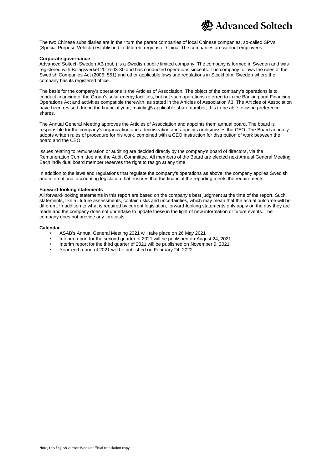

The two Chinese subsidiaries are in their turn the parent companies of local Chinese companies, so-called SPVs (Special Purpose Vehicle) established in different regions of China. The companies are without employees.

#### **Corporate governance**

Advanced Soltech Sweden AB (publ) is a Swedish public limited company. The company is formed in Sweden and was registered with Bolagsverket 2016-03-30 and has conducted operations since its. The company follows the rules of the Swedish Companies Act (2005: 551) and other applicable laws and regulations in Stockholm, Sweden where the company has its registered office.

The basis for the company's operations is the Articles of Association. The object of the company's operations is to conduct financing of the Group's solar energy facilities, but not such operations referred to in the Banking and Financing Operations Act and activities compatible therewith, as stated in the Articles of Association §3. The Articles of Association have been revised during the financial year, mainly §5 applicable share number, this to be able to issue preference shares.

The Annual General Meeting approves the Articles of Association and appoints them annual board. The board is responsible for the company's organization and administration and appoints or dismisses the CEO. The Board annually adopts written rules of procedure for his work, combined with a CEO instruction for distribution of work between the board and the CEO.

Issues relating to remuneration or auditing are decided directly by the company's board of directors, via the Remuneration Committee and the Audit Committee. All members of the Board are elected next Annual General Meeting. Each individual board member reserves the right to resign at any time.

In addition to the laws and regulations that regulate the company's operations as above, the company applies Swedish and international accounting legislation that ensures that the financial the reporting meets the requirements.

#### **Forward-looking statements**

All forward-looking statements in this report are based on the company's best judgment at the time of the report. Such statements, like all future assessments, contain risks and uncertainties, which may mean that the actual outcome will be different. In addition to what is required by current legislation, forward-looking statements only apply on the day they are made and the company does not undertake to update these in the light of new information or future events. The company does not provide any forecasts.

#### **Calendar**

- ASAB's Annual General Meeting 2021 will take place on 26 May 2021
- Interim report for the second quarter of 2021 will be published on August 24, 2021
- Interim report for the third quarter of 2021 will be published on November 9, 2021
- Year-end report of 2021 will be published on February 24, 2022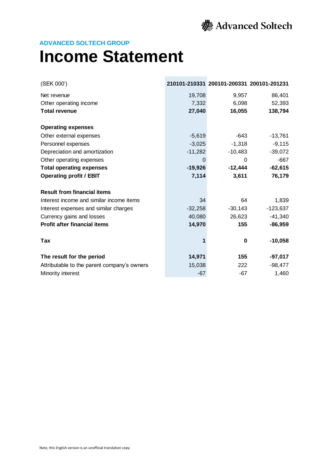

## **Income Statement**

| (SEK 000')                                  |           | 210101-210331 200101-200331 200101-201231 |            |
|---------------------------------------------|-----------|-------------------------------------------|------------|
| Net revenue                                 | 19,708    | 9,957                                     | 86,401     |
| Other operating income                      | 7,332     | 6,098                                     | 52,393     |
| <b>Total revenue</b>                        | 27,040    | 16,055                                    | 138,794    |
| <b>Operating expenses</b>                   |           |                                           |            |
| Other external expenses                     | $-5,619$  | -643                                      | $-13,761$  |
| Personnel expenses                          | $-3,025$  | $-1,318$                                  | $-9,115$   |
| Depreciation and amortization               | $-11,282$ | $-10,483$                                 | $-39,072$  |
| Other operating expenses                    | $\Omega$  | 0                                         | $-667$     |
| <b>Total operating expenses</b>             | $-19,926$ | $-12,444$                                 | $-62,615$  |
| <b>Operating profit / EBIT</b>              | 7,114     | 3,611                                     | 76,179     |
| <b>Result from financial items</b>          |           |                                           |            |
| Interest income and similar income items    | 34        | 64                                        | 1,839      |
| Interest expenses and similar charges       | $-32,258$ | $-30,143$                                 | $-123,637$ |
| Currency gains and losses                   | 40,080    | 26,623                                    | $-41,340$  |
| <b>Profit after financial items</b>         | 14,970    | 155                                       | $-86,959$  |
| Tax                                         |           | 0                                         | $-10,058$  |
| The result for the period                   | 14,971    | 155                                       | $-97,017$  |
| Attributable to the parent company's owners | 15,038    | 222                                       | $-98,477$  |
| Minority interest                           | $-67$     | $-67$                                     | 1,460      |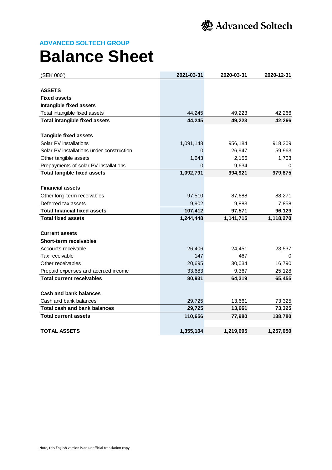

## **Balance Sheet**

| (SEK 000')                                | 2021-03-31 | 2020-03-31 | 2020-12-31 |
|-------------------------------------------|------------|------------|------------|
|                                           |            |            |            |
| <b>ASSETS</b>                             |            |            |            |
| <b>Fixed assets</b>                       |            |            |            |
| Intangible fixed assets                   |            |            |            |
| Total intangible fixed assets             | 44,245     | 49,223     | 42,266     |
| <b>Total intangible fixed assets</b>      | 44,245     | 49,223     | 42,266     |
| <b>Tangible fixed assets</b>              |            |            |            |
| Solar PV installations                    | 1,091,148  | 956,184    | 918,209    |
| Solar PV installations under construction | 0          | 26,947     | 59,963     |
| Other tangible assets                     | 1,643      | 2,156      | 1,703      |
| Prepayments of solar PV installations     | 0          | 9,634      | 0          |
| <b>Total tangible fixed assets</b>        | 1,092,791  | 994,921    | 979,875    |
|                                           |            |            |            |
| <b>Financial assets</b>                   |            |            |            |
| Other long-term receivables               | 97,510     | 87,688     | 88,271     |
| Deferred tax assets                       | 9,902      | 9,883      | 7,858      |
| <b>Total financial fixed assets</b>       | 107,412    | 97,571     | 96,129     |
| <b>Total fixed assets</b>                 | 1,244,448  | 1,141,715  | 1,118,270  |
|                                           |            |            |            |
| <b>Current assets</b>                     |            |            |            |
| <b>Short-term receivables</b>             |            |            |            |
| Accounts receivable                       | 26,406     | 24,451     | 23,537     |
| Tax receivable                            | 147        | 467        | 0          |
| Other receivables                         | 20,695     | 30,034     | 16,790     |
| Prepaid expenses and accrued income       | 33,683     | 9,367      | 25,128     |
| <b>Total current receivables</b>          | 80,931     | 64,319     | 65,455     |
|                                           |            |            |            |
| <b>Cash and bank balances</b>             |            |            |            |
| Cash and bank balances                    | 29,725     | 13,661     | 73,325     |
| <b>Total cash and bank balances</b>       | 29,725     | 13,661     | 73,325     |
| <b>Total current assets</b>               | 110,656    | 77,980     | 138,780    |
| <b>TOTAL ASSETS</b>                       | 1,355,104  | 1,219,695  | 1,257,050  |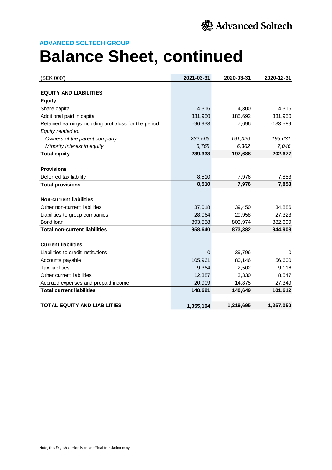

# **Balance Sheet, continued**

| (SEK 000')                                             | 2021-03-31 | 2020-03-31 | 2020-12-31 |
|--------------------------------------------------------|------------|------------|------------|
|                                                        |            |            |            |
| <b>EQUITY AND LIABILITIES</b>                          |            |            |            |
| <b>Equity</b>                                          |            |            |            |
| Share capital                                          | 4,316      | 4,300      | 4,316      |
| Additional paid in capital                             | 331,950    | 185,692    | 331,950    |
| Retained earnings including profit/loss for the period | $-96,933$  | 7,696      | $-133,589$ |
| Equity related to:                                     |            |            |            |
| Owners of the parent company                           | 232,565    | 191,326    | 195,631    |
| Minority interest in equity                            | 6,768      | 6,362      | 7,046      |
| <b>Total equity</b>                                    | 239,333    | 197,688    | 202,677    |
|                                                        |            |            |            |
| <b>Provisions</b>                                      |            |            |            |
| Deferred tax liability                                 | 8,510      | 7,976      | 7,853      |
| <b>Total provisions</b>                                | 8,510      | 7,976      | 7,853      |
|                                                        |            |            |            |
| <b>Non-current liabilities</b>                         |            |            |            |
| Other non-current liabilities                          | 37,018     | 39,450     | 34,886     |
| Liabilities to group companies                         | 28,064     | 29,958     | 27,323     |
| Bond loan                                              | 893,558    | 803,974    | 882,699    |
| <b>Total non-current liabilities</b>                   | 958,640    | 873,382    | 944,908    |
|                                                        |            |            |            |
| <b>Current liabilities</b>                             |            |            |            |
| Liabilities to credit institutions                     | 0          | 39,796     | 0          |
| Accounts payable                                       | 105,961    | 80,146     | 56,600     |
| <b>Tax liabilities</b>                                 | 9,364      | 2,502      | 9,116      |
| Other current liabilities                              | 12,387     | 3,330      | 8,547      |
| Accrued expenses and prepaid income                    | 20,909     | 14,875     | 27,349     |
| <b>Total current liabilities</b>                       | 148,621    | 140,649    | 101,612    |
|                                                        |            |            |            |
| <b>TOTAL EQUITY AND LIABILITIES</b>                    | 1,355,104  | 1,219,695  | 1,257,050  |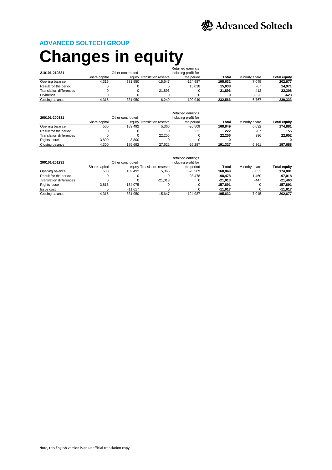

# **Changes in equity**

|                                |               |                   |                            | Retained earnings    |         |                |              |
|--------------------------------|---------------|-------------------|----------------------------|----------------------|---------|----------------|--------------|
| 210101-210331                  |               | Other contributed |                            | including profit for |         |                |              |
|                                | Share capital |                   | equity Translation reserve | the period           | Total   | Minority share | Total equity |
| Opening balance                | 4.316         | 331.950           | $-15.647$                  | $-124.987$           | 195.632 | 7.045          | 202.677      |
| Result for the period          |               |                   |                            | 15.038               | 15.038  | -67            | 14.971       |
| <b>Translation differences</b> |               |                   | 21.896                     |                      | 21.896  | 412            | 22,308       |
| <b>Dividends</b>               |               |                   |                            |                      |         | $-623$         | $-623$       |
| Closing balance                | 4.316         | 331.950           | 6.249                      | $-109.949$           | 232.566 | 6.767          | 239.333      |

| 200101-200331                  |               | Other contributed |                            | Retained earnings<br>including profit for |         |                |                     |
|--------------------------------|---------------|-------------------|----------------------------|-------------------------------------------|---------|----------------|---------------------|
|                                | Share capital |                   | equity Translation reserve | the period                                | Total   | Minority share | <b>Total equity</b> |
| Opening balance                | 500           | 189.492           | 5.366                      | -26.509                                   | 168.849 | 6.032          | 174.881             |
| Result for the period          |               |                   |                            | 222                                       | 222     | $-67$          | 155                 |
| <b>Translation differences</b> |               |                   | 22.256                     |                                           | 22.256  | 396            | 22.652              |
| Rights issue                   | 3.800         | $-3.800$          |                            |                                           |         |                |                     |
| Closing balance                | 4.300         | 185.692           | 27.622                     | $-26.287$                                 | 191.327 | 6.361          | 197.688             |

|                                |               |                   |                            | Retained earnings    |           |                |                     |
|--------------------------------|---------------|-------------------|----------------------------|----------------------|-----------|----------------|---------------------|
| 200101-201231                  |               | Other contributed |                            | including profit for |           |                |                     |
|                                | Share capital |                   | equity Translation reserve | the period           | Total     | Minority share | <b>Total equity</b> |
| Opening balance                | 500           | 189.492           | 5.366                      | -26.509              | 168.849   | 6.032          | 174.881             |
| Result for the period          |               |                   |                            | $-98.478$            | -98.478   | 1.460          | -97.018             |
| <b>Translation differences</b> |               |                   | $-21.013$                  |                      | $-21.013$ | $-447$         | $-21.460$           |
| Rights issue                   | 3.816         | 154.075           |                            |                      | 157.891   |                | 157.891             |
| <b>Issue cost</b>              |               | $-11.617$         |                            |                      | $-11.617$ |                | $-11,617$           |
| Closing balance                | 4.316         | 331.950           | $-15.647$                  | $-124.987$           | 195.632   | 7.045          | 202,677             |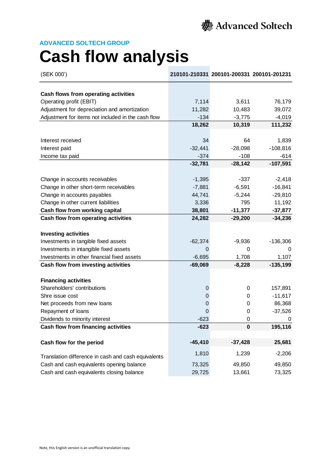

# **Cash flow analysis**

| (SEK 000')                                          |           | 210101-210331 200101-200331 200101-201231 |            |
|-----------------------------------------------------|-----------|-------------------------------------------|------------|
| Cash flows from operating activities                |           |                                           |            |
| Operating profit (EBIT)                             | 7,114     | 3,611                                     | 76,179     |
| Adjustment for depreciation and amortization        | 11,282    | 10,483                                    | 39,072     |
| Adjustment for items not included in the cash flow  | $-134$    | $-3,775$                                  | $-4,019$   |
|                                                     | 18,262    | 10,319                                    | 111,232    |
|                                                     |           |                                           |            |
| Interest received                                   | 34        | 64                                        | 1,839      |
| Interest paid                                       | $-32,441$ | $-28,098$                                 | $-108,816$ |
| Income tax paid                                     | $-374$    | $-108$                                    | $-614$     |
|                                                     | $-32,781$ | $-28,142$                                 | $-107,591$ |
|                                                     |           |                                           |            |
| Change in accounts receivables                      | $-1,395$  | $-337$                                    | $-2,418$   |
| Change in other short-term receivables              | $-7,881$  | $-6,591$                                  | $-16,841$  |
| Change in accounts payables                         | 44,741    | $-5,244$                                  | $-29,810$  |
| Change in other current liabilities                 | 3,336     | 795                                       | 11,192     |
| Cash flow from working capital                      | 38,801    | $-11,377$                                 | $-37,877$  |
| Cash flow from operating activities                 | 24,282    | $-29,200$                                 | $-34,236$  |
|                                                     |           |                                           |            |
| <b>Investing activities</b>                         |           |                                           |            |
| Investments in tangible fixed assets                | $-62,374$ | $-9,936$                                  | $-136,306$ |
| Investments in intangible fixed assets              | 0         | 0                                         | 0          |
| Investments in other financial fixed assets         | $-6,695$  | 1,708                                     | 1,107      |
| Cash flow from investing activities                 | $-69,069$ | $-8,228$                                  | $-135,199$ |
|                                                     |           |                                           |            |
| <b>Financing activities</b>                         |           |                                           |            |
| Shareholders' contributions                         | 0         | 0                                         | 157,891    |
| Shre issue cost                                     | 0         | 0                                         | $-11,617$  |
| Net proceeds from new loans                         | 0         | 0                                         | 86,368     |
| Repayment of loans                                  | 0         | 0                                         | $-37,526$  |
| Dividends to minority interest                      | $-623$    | 0                                         | 0          |
| Cash flow from financing activities                 | $-623$    | 0                                         | 195,116    |
| Cash flow for the period                            | $-45,410$ | $-37,428$                                 | 25,681     |
|                                                     | 1,810     | 1,239                                     | $-2,206$   |
| Translation difference in cash and cash equivalents |           |                                           |            |
| Cash and cash equivalents opening balance           | 73,325    | 49,850                                    | 49,850     |
| Cash and cash equivalents closing balance           | 29,725    | 13,661                                    | 73,325     |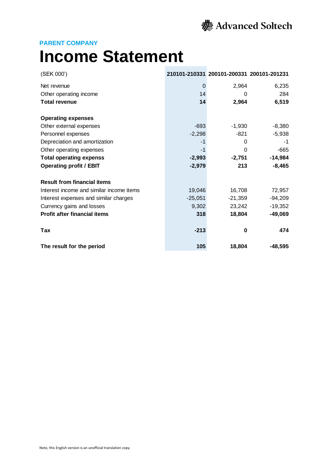

### **PARENT COMPANY**

# **Income Statement**

| (SEK 000')                               |           | 210101-210331 200101-200331 200101-201231 |           |
|------------------------------------------|-----------|-------------------------------------------|-----------|
| Net revenue                              | $\Omega$  | 2,964                                     | 6,235     |
| Other operating income                   | 14        | 0                                         | 284       |
| <b>Total revenue</b>                     | 14        | 2,964                                     | 6,519     |
| <b>Operating expenses</b>                |           |                                           |           |
| Other external expenses                  | $-693$    | $-1,930$                                  | $-8,380$  |
| Personnel expenses                       | $-2,298$  | -821                                      | $-5,938$  |
| Depreciation and amortization            | -1        | 0                                         | -1        |
| Other operating expenses                 | $-1$      | $\Omega$                                  | $-665$    |
| <b>Total operating expenss</b>           | $-2,993$  | $-2,751$                                  | $-14,984$ |
| <b>Operating profit / EBIT</b>           | $-2,979$  | 213                                       | $-8,465$  |
| <b>Result from financial items</b>       |           |                                           |           |
| Interest income and similar income items | 19,046    | 16,708                                    | 72,957    |
| Interest expenses and similar charges    | $-25,051$ | $-21,359$                                 | $-94,209$ |
| Currency gains and losses                | 9,302     | 23,242                                    | $-19,352$ |
| <b>Profit after financial items</b>      | 318       | 18,804                                    | $-49,069$ |
| Tax                                      | $-213$    | 0                                         | 474       |
| The result for the period                | 105       | 18,804                                    | $-48.595$ |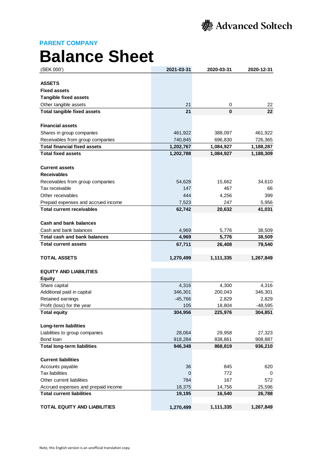**PARENT COMPANY**

# **Balance Sheet**

| (SEK 000')                          | 2021-03-31 | 2020-03-31 | 2020-12-31 |
|-------------------------------------|------------|------------|------------|
|                                     |            |            |            |
| <b>ASSETS</b>                       |            |            |            |
| <b>Fixed assets</b>                 |            |            |            |
| <b>Tangible fixed assets</b>        |            |            |            |
| Other tangible assets               | 21         | 0          | 22         |
| <b>Total tangible fixed assets</b>  | 21         | 0          | 22         |
| <b>Financial assets</b>             |            |            |            |
| Shares in group companies           | 461,922    | 388,097    | 461,922    |
| Receivables from group companies    | 740,845    | 696,830    | 726,365    |
| <b>Total financial fixed assets</b> | 1,202,767  | 1,084,927  | 1,188,287  |
| <b>Total fixed assets</b>           | 1,202,788  | 1,084,927  | 1,188,309  |
|                                     |            |            |            |
| <b>Current assets</b>               |            |            |            |
| <b>Receivables</b>                  |            |            |            |
| Receivables from group companies    | 54,628     | 15,662     | 34,610     |
| Tax receivable                      | 147        | 467        | 66         |
| Other receivables                   | 444        | 4,256      | 399        |
| Prepaid expenses and accrued income | 7,523      | 247        | 5,956      |
| <b>Total current receivables</b>    | 62,742     | 20,632     | 41,031     |
|                                     |            |            |            |
| Cash and bank balances              |            |            |            |
| Cash and bank balances              | 4,969      | 5,776      | 38,509     |
| <b>Total cash and bank balances</b> | 4,969      | 5,776      | 38,509     |
| <b>Total current assets</b>         | 67,711     | 26,408     | 79,540     |
| <b>TOTAL ASSETS</b>                 | 1,270,499  | 1,111,335  | 1,267,849  |
| <b>EQUITY AND LIABILITIES</b>       |            |            |            |
| <b>Equity</b>                       |            |            |            |
| Share capital                       | 4,316      | 4,300      | 4,316      |
| Additional paid in capital          | 346,301    | 200,043    | 346,301    |
| Retained earnings                   | $-45,766$  | 2,829      | 2,829      |
| Profit (loss) for the year          | 105        | 18,804     | $-48,595$  |
| <b>Total equity</b>                 | 304,956    | 225,976    | 304,851    |
|                                     |            |            |            |
| <b>Long-term liabilities</b>        |            |            |            |
| Liabilities to group companies      | 28,064     | 29,958     | 27,323     |
| Bond loan                           | 918,284    | 838,861    | 908,887    |
| <b>Total long-term liabilities</b>  | 946,348    | 868,819    | 936,210    |
| <b>Current liabilities</b>          |            |            |            |
| Accounts payable                    | 36         | 845        | 620        |
| <b>Tax liabilities</b>              | 0          | 772        | 0          |
| Other current liabilities           | 784        | 167        | 572.       |
| Accrued expenses and prepaid income | 18,375     | 14,756     | 25,596     |
| <b>Total current liabilities</b>    | 19,195     | 16,540     | 26,788     |
|                                     |            |            |            |
| <b>TOTAL EQUITY AND LIABILITIES</b> | 1,270,499  | 1,111,335  | 1,267,849  |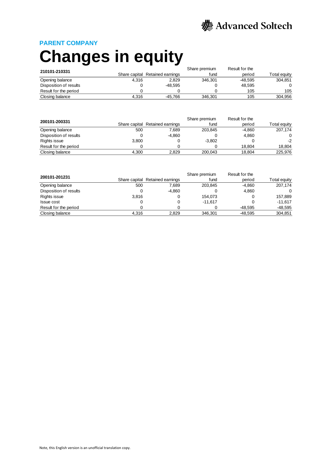

### **PARENT COMPANY**

# **Changes in equity**

| 210101-210331          | Share premium<br>Result for the |                                 |         |                        |         |
|------------------------|---------------------------------|---------------------------------|---------|------------------------|---------|
|                        |                                 | Share capital Retained earnings | fund    | Total equity<br>period |         |
| Opening balance        | 4.316                           | 2.829                           | 346.301 | -48.595                | 304.851 |
| Disposition of results |                                 | -48.595                         |         | 48.595                 | 0       |
| Result for the period  |                                 |                                 |         | 105                    | 105     |
| Closing balance        | 4.316                           | -45.766                         | 346.301 | 105                    | 304.956 |

| 200101-200331          | Result for the<br>Share premium |                                 |          |          |              |
|------------------------|---------------------------------|---------------------------------|----------|----------|--------------|
|                        |                                 | Share capital Retained earnings | fund     | period   | Total equity |
| Opening balance        | 500                             | 7.689                           | 203.845  | $-4.860$ | 207.174      |
| Disposition of results |                                 | $-4.860$                        |          | 4.860    | 0            |
| Rights issue           | 3,800                           |                                 | $-3.802$ |          | $-2$         |
| Result for the period  |                                 |                                 |          | 18.804   | 18,804       |
| Closing balance        | 4.300                           | 2,829                           | 200.043  | 18,804   | 225.976      |

| 200101-201231          | Result for the<br>Share premium |                                 |           |           |              |
|------------------------|---------------------------------|---------------------------------|-----------|-----------|--------------|
|                        |                                 | Share capital Retained earnings | fund      | period    | Total equity |
| Opening balance        | 500                             | 7,689                           | 203.845   | $-4.860$  | 207,174      |
| Disposition of results |                                 | $-4.860$                        |           | 4.860     | 0            |
| Rights issue           | 3,816                           |                                 | 154.073   |           | 157,889      |
| <b>Issue cost</b>      |                                 |                                 | $-11.617$ |           | $-11.617$    |
| Result for the period  |                                 |                                 |           | $-48.595$ | $-48,595$    |
| Closing balance        | 4.316                           | 2,829                           | 346.301   | $-48.595$ | 304,851      |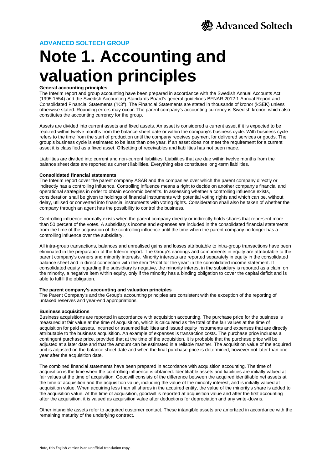

# **Note 1. Accounting and valuation principles**

#### **General accounting principles**

The Interim report and group accounting have been prepared in accordance with the Swedish Annual Accounts Act (1995:1554) and the Swedish Accounting Standards Board's general guidelines BFNAR 2012:1 Annual Report and Consolidated Financial Statements ("K3"). The Financial Statements are stated in thousands of kronor (kSEK) unless otherwise stated. Rounding errors may occur. The parent company's accounting currency is Swedish kronor, which also constitutes the accounting currency for the group.

Assets are divided into current assets and fixed assets. An asset is considered a current asset if it is expected to be realized within twelve months from the balance sheet date or within the company's business cycle. With business cycle refers to the time from the start of production until the company receives payment for delivered services or goods. The group's business cycle is estimated to be less than one year. If an asset does not meet the requirement for a current asset it is classified as a fixed asset. Offsetting of receivables and liabilities has not been made.

Liabilities are divided into current and non-current liabilities. Liabilities that are due within twelve months from the balance sheet date are reported as current liabilities. Everything else constitutes long-term liabilities.

#### **Consolidated financial statements**

The Interim report cover the parent company ASAB and the companies over which the parent company directly or indirectly has a controlling influence. Controlling influence means a right to decide on another company's financial and operational strategies in order to obtain economic benefits. In assessing whether a controlling influence exists, consideration shall be given to holdings of financial instruments with potential voting rights and which can be, without delay, utilised or converted into financial instruments with voting rights. Consideration shall also be taken of whether the company through an agent has the possibility to control the business.

Controlling influence normally exists when the parent company directly or indirectly holds shares that represent more than 50 percent of the votes. A subsidiary's income and expenses are included in the consolidated financial statements from the time of the acquisition of the controlling influence until the time when the parent company no longer has a controlling influence over the subsidiary.

All intra-group transactions, balances and unrealised gains and losses attributable to intra-group transactions have been eliminated in the preparation of the Interim report. The Group's earnings and components in equity are attributable to the parent company's owners and minority interests. Minority interests are reported separately in equity in the consolidated balance sheet and in direct connection with the item "Profit for the year" in the consolidated income statement. If consolidated equity regarding the subsidiary is negative, the minority interest in the subsidiary is reported as a claim on the minority, a negative item within equity, only if the minority has a binding obligation to cover the capital deficit and is able to fulfill the obligation.

#### **The parent company's accounting and valuation principles**

The Parent Company's and the Group's accounting principles are consistent with the exception of the reporting of untaxed reserves and year-end appropriations.

#### **Business acquisitions**

Business acquisitions are reported in accordance with acquisition accounting. The purchase price for the business is measured at fair value at the time of acquisition, which is calculated as the total of the fair values at the time of acquisition for paid assets, incurred or assumed liabilities and issued equity instruments and expenses that are directly attributable to the business acquisition. An example of expenses is transaction costs. The purchase price includes a contingent purchase price, provided that at the time of the acquisition, it is probable that the purchase price will be adjusted at a later date and that the amount can be estimated in a reliable manner. The acquisition value of the acquired unit is adjusted on the balance sheet date and when the final purchase price is determined, however not later than one year after the acquisition date.

The combined financial statements have been prepared in accordance with acquisition accounting. The time of acquisition is the time when the controlling influence is obtained. Identifiable assets and liabilities are initially valued at fair values at the time of acquisition. Goodwill consists of the difference between the acquired identifiable net assets at the time of acquisition and the acquisition value, including the value of the minority interest, and is initially valued at acquisition value. When acquiring less than all shares in the acquired entity, the value of the minority's share is added to the acquisition value. At the time of acquisition, goodwill is reported at acquisition value and after the first accounting after the acquisition, it is valued as acquisition value after deductions for depreciation and any write-downs.

Other intangible assets refer to acquired customer contact. These intangible assets are amortized in accordance with the remaining maturity of the underlying contract.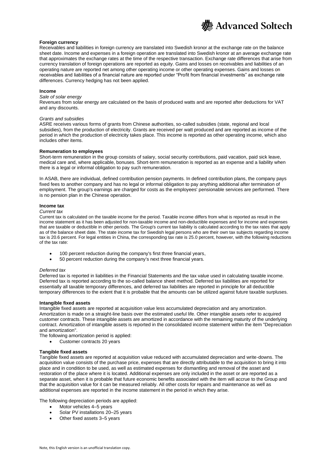

#### **Foreign currency**

Receivables and liabilities in foreign currency are translated into Swedish kronor at the exchange rate on the balance sheet date. Income and expenses in a foreign operation are translated into Swedish kronor at an average exchange rate that approximates the exchange rates at the time of the respective transaction. Exchange rate differences that arise from currency translation of foreign operations are reported as equity. Gains and losses on receivables and liabilities of an operating nature are reported net among other operating income or other operating expenses. Gains and losses on receivables and liabilities of a financial nature are reported under "Profit from financial investments" as exchange rate differences. Currency hedging has not been applied.

#### **Income**

#### *Sale of solar energy*

Revenues from solar energy are calculated on the basis of produced watts and are reported after deductions for VAT and any discounts.

#### *Grants and subsidies*

ASRE receives various forms of grants from Chinese authorities, so-called subsidies (state, regional and local subsidies), from the production of electricity. Grants are received per watt produced and are reported as income of the period in which the production of electricity takes place. This income is reported as other operating income, which also includes other items.

#### **Remuneration to employees**

Short-term remuneration in the group consists of salary, social security contributions, paid vacation, paid sick leave, medical care and, where applicable, bonuses. Short-term remuneration is reported as an expense and a liability when there is a legal or informal obligation to pay such remuneration.

In ASAB, there are individual, defined contribution pension payments. In defined contribution plans, the company pays fixed fees to another company and has no legal or informal obligation to pay anything additional after termination of employment. The group's earnings are charged for costs as the employees' pensionable services are performed. There is no pension plan in the Chinese operation.

#### **Income tax**

#### *Current tax*

Current tax is calculated on the taxable income for the period. Taxable income differs from what is reported as result in the income statement as it has been adjusted for non-taxable income and non-deductible expenses and for income and expenses that are taxable or deductible in other periods. The Group's current tax liability is calculated according to the tax rates that apply as of the balance sheet date. The state income tax for Swedish legal persons who are their own tax subjects regarding income tax is 20.6 percent. For legal entities in China, the corresponding tax rate is 25.0 percent, however, with the following reductions of the tax rate:

- 100 percent reduction during the company's first three financial years,
- 50 percent reduction during the company's next three financial years.

#### *Deferred tax*

Deferred tax is reported in liabilities in the Financial Statements and the tax value used in calculating taxable income. Deferred tax is reported according to the so-called balance sheet method. Deferred tax liabilities are reported for essentially all taxable temporary differences, and deferred tax liabilities are reported in principle for all deductible temporary differences to the extent that it is probable that the amounts can be utilized against future taxable surpluses.

#### **Intangible fixed assets**

Intangible fixed assets are reported at acquisition value less accumulated depreciation and any amortization. Amortization is made on a straight-line basis over the estimated useful life. Other intangible assets refer to acquired customer contracts. These intangible assets are amortized in accordance with the remaining maturity of the underlying contract. Amortization of intangible assets is reported in the consolidated income statement within the item "Depreciation and amortization".

- The following amortization period is applied:
	- Customer contracts 20 years

#### **Tangible fixed assets**

Tangible fixed assets are reported at acquisition value reduced with accumulated depreciation and write-downs. The acquisition value consists of the purchase price, expenses that are directly attributable to the acquisition to bring it into place and in condition to be used, as well as estimated expenses for dismantling and removal of the asset and restoration of the place where it is located. Additional expenses are only included in the asset or are reported as a separate asset, when it is probable that future economic benefits associated with the item will accrue to the Group and that the acquisition value for it can be measured reliably. All other costs for repairs and maintenance as well as additional expenses are reported in the income statement in the period in which they arise.

The following depreciation periods are applied:

- Motor vehicles 4-5 years
- Solar PV installations 20-25 years
- Other fixed assets 3-5 years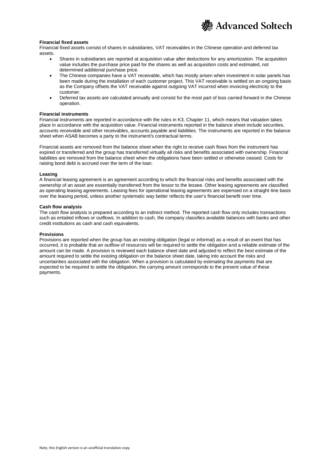

#### **Financial fixed assets**

Financial fixed assets consist of shares in subsidiaries, VAT receivables in the Chinese operation and deferred tax assets.

- Shares in subsidiaries are reported at acquisition value after deductions for any amortization. The acquisition value includes the purchase price paid for the shares as well as acquisition costs and estimated, not determined additional purchase price.
- The Chinese companies have a VAT receivable, which has mostly arisen when investment in solar panels has been made during the installation of each customer project. This VAT receivable is settled on an ongoing basis as the Company offsets the VAT receivable against outgoing VAT incurred when invoicing electricity to the customer.
- Deferred tax assets are calculated annually and consist for the most part of loss carried forward in the Chinese operation.

#### **Financial instruments**

Financial instruments are reported in accordance with the rules in K3, Chapter 11, which means that valuation takes place in accordance with the acquisition value. Financial instruments reported in the balance sheet include securities, accounts receivable and other receivables, accounts payable and liabilities. The instruments are reported in the balance sheet when ASAB becomes a party to the instrument's contractual terms.

Financial assets are removed from the balance sheet when the right to receive cash flows from the instrument has expired or transferred and the group has transferred virtually all risks and benefits associated with ownership. Financial liabilities are removed from the balance sheet when the obligations have been settled or otherwise ceased. Costs for raising bond debt is accrued over the term of the loan.

#### **Leasing**

A financial leasing agreement is an agreement according to which the financial risks and benefits associated with the ownership of an asset are essentially transferred from the lessor to the lessee. Other leasing agreements are classified as operating leasing agreements. Leasing fees for operational leasing agreements are expensed on a straight-line basis over the leasing period, unless another systematic way better reflects the user's financial benefit over time.

#### **Cash flow analysis**

The cash flow analysis is prepared according to an indirect method. The reported cash flow only includes transactions such as entailed inflows or outflows. In addition to cash, the company classifies available balances with banks and other credit institutions as cash and cash equivalents.

#### **Provisions**

Provisions are reported when the group has an existing obligation (legal or informal) as a result of an event that has occurred, it is probable that an outflow of resources will be required to settle the obligation and a reliable estimate of the amount can be made. A provision is reviewed each balance sheet date and adjusted to reflect the best estimate of the amount required to settle the existing obligation on the balance sheet date, taking into account the risks and uncertainties associated with the obligation. When a provision is calculated by estimating the payments that are expected to be required to settle the obligation, the carrying amount corresponds to the present value of these payments.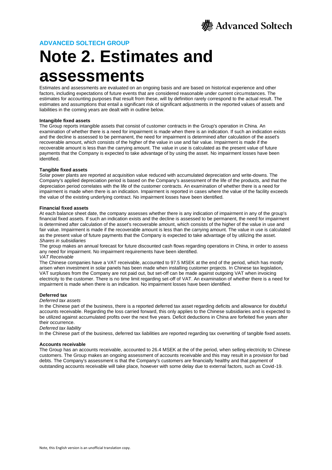

### **Note 2. Estimates and assessments**

Estimates and assessments are evaluated on an ongoing basis and are based on historical experience and other factors, including expectations of future events that are considered reasonable under current circumstances. The estimates for accounting purposes that result from these, will by definition rarely correspond to the actual result. The estimates and assumptions that entail a significant risk of significant adjustments in the reported values of assets and liabilities in the coming years are dealt with in outline below.

#### **Intangible fixed assets**

The Group reports intangible assets that consist of customer contracts in the Group's operation in China. An examination of whether there is a need for impairment is made when there is an indication. If such an indication exists and the decline is assessed to be permanent, the need for impairment is determined after calculation of the asset's recoverable amount, which consists of the higher of the value in use and fair value. Impairment is made if the recoverable amount is less than the carrying amount. The value in use is calculated as the present value of future payments that the Company is expected to take advantage of by using the asset. No impairment losses have been identified.

#### **Tangible fixed assets**

Solar power plants are reported at acquisition value reduced with accumulated depreciation and write-downs. The Company's applied depreciation period is based on the Company's assessment of the life of the products, and that the depreciation period correlates with the life of the customer contracts. An examination of whether there is a need for impairment is made when there is an indication. Impairment is reported in cases where the value of the facility exceeds the value of the existing underlying contract. No impairment losses have been identified.

#### **Financial fixed assets**

At each balance sheet date, the company assesses whether there is any indication of impairment in any of the group's financial fixed assets. If such an indication exists and the decline is assessed to be permanent, the need for impairment is determined after calculation of the asset's recoverable amount, which consists of the higher of the value in use and fair value. Impairment is made if the recoverable amount is less than the carrying amount. The value in use is calculated as the present value of future payments that the Company is expected to take advantage of by utilizing the asset. *Shares in subsidiaries*

The group makes an annual forecast for future discounted cash flows regarding operations in China, in order to assess any need for impairment. No impairment requirements have been identified.

#### *VAT Receivable*

The Chinese companies have a VAT receivable, accounted to 97.5 MSEK at the end of the period, which has mostly arisen when investment in solar panels has been made when installing customer projects. In Chinese tax legislation, VAT surpluses from the Company are not paid out, but set-off can be made against outgoing VAT when invoicing electricity to the customer. There is no time limit regarding set-off of VAT. An examination of whether there is a need for impairment is made when there is an indication. No impairment losses have been identified.

#### **Deferred tax**

#### *Deferred tax assets*

In the Chinese part of the business, there is a reported deferred tax asset regarding deficits and allowance for doubtful accounts receivable. Regarding the loss carried forward, this only applies to the Chinese subsidiaries and is expected to be utilized against accumulated profits over the next five years. Deficit deductions in China are forfeited five years after their occurrence.

#### *Deferred tax liability*

In the Chinese part of the business, deferred tax liabilities are reported regarding tax overwriting of tangible fixed assets.

#### **Accounts receivable**

The Group has an accounts receivable, accounted to 26.4 MSEK at the of the period, when selling electricity to Chinese customers. The Group makes an ongoing assessment of accounts receivable and this may result in a provision for bad debts. The Company's assessment is that the Company's customers are financially healthy and that payment of outstanding accounts receivable will take place, however with some delay due to external factors, such as Covid-19.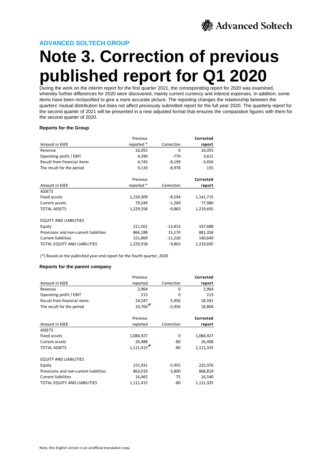

# **Note 3. Correction of previous published report for Q1 2020**

During the work on the interim report for the first quarter 2021, the corresponding report for 2020 was examined, whereby further differences for 2020 were discovered, mainly current currency and interest expenses. In addition, some items have been reclassified to give a more accurate picture. The reporting changes the relationship between the quarters' mutual distribution but does not affect previously submitted report for the full year 2020. The quarterly report for the second quarter of 2021 will be presented in a new adjusted format that ensures the comparative figures with them for the second quarter of 2020.

#### **Reports for the Group**

|                                        | Previous   |            | <b>Corrected</b> |
|----------------------------------------|------------|------------|------------------|
| Amount in kSEK                         | reported * | Correction | report           |
| Revenue                                | 16,055     | 0          | 16,055           |
| Operating profit / EBIT                | 4,390      | $-779$     | 3,611            |
| Result from financial items            | 4,743      | $-8,199$   | $-3,456$         |
| The result for the period              | 9,133      | $-8,978$   | 155              |
|                                        | Previous   |            | Corrected        |
| Amount in kSEK                         | reported * | Correction | report           |
| <b>ASSETS</b>                          |            |            |                  |
| <b>Fixed assets</b>                    | 1,150,309  | $-8,594$   | 1,141,715        |
| Current assets                         | 79,249     | $-1,269$   | 77,980           |
| <b>TOTAL ASSETS</b>                    | 1,229,558  | $-9,863$   | 1,219,695        |
| <b>EQUITY AND LIABILITIES</b>          |            |            |                  |
| Equity                                 | 211,501    | $-13,813$  | 197,688          |
| Provisions and non-current liabilities | 866,188    | 15,170     | 881,358          |
| <b>Current liabilities</b>             | 151,869    | $-11,220$  | 140,649          |
| <b>TOTAL EQUITY AND LIABILITIES</b>    | 1,229,558  | $-9,863$   | 1,219,695        |

(\*) Based on the published year-end report for the fourth quarter, 2020

#### **Reports for the parent company**

|                                        | Previous  |            | Corrected |
|----------------------------------------|-----------|------------|-----------|
| Amount in kSEK                         | reported  | Correction | report    |
| Revenue                                | 2,964     | 0          | 2,964     |
| Operating profit / EBIT                | 213       | 0          | 213       |
| Result from financial items            | 24,547    | $-5,956$   | 18,591    |
| The result for the period              | 24,760    | $-5,956$   | 18,804    |
|                                        | Previous  |            | Corrected |
| Amount in kSEK                         | reported  | Correction | report    |
| <b>ASSETS</b>                          |           |            |           |
| Fixed assets                           | 1,084,927 | 0          | 1,084,927 |
| Current assets                         | 26,488    | -80        | 26,408    |
| <b>TOTAL ASSETS</b>                    | 1,111,415 | -80        | 1,111,335 |
| <b>EQUITY AND LIABILITIES</b>          |           |            |           |
| Equity                                 | 231,931   | $-5,955$   | 225,976   |
| Provisions and non-current liabilities | 863,019   | 5,800      | 868,819   |
| <b>Current liabilities</b>             | 16,465    | 75         | 16,540    |
| TOTAL EQUITY AND LIABILITIES           | 1,111,415 | -80        | 1,111,335 |